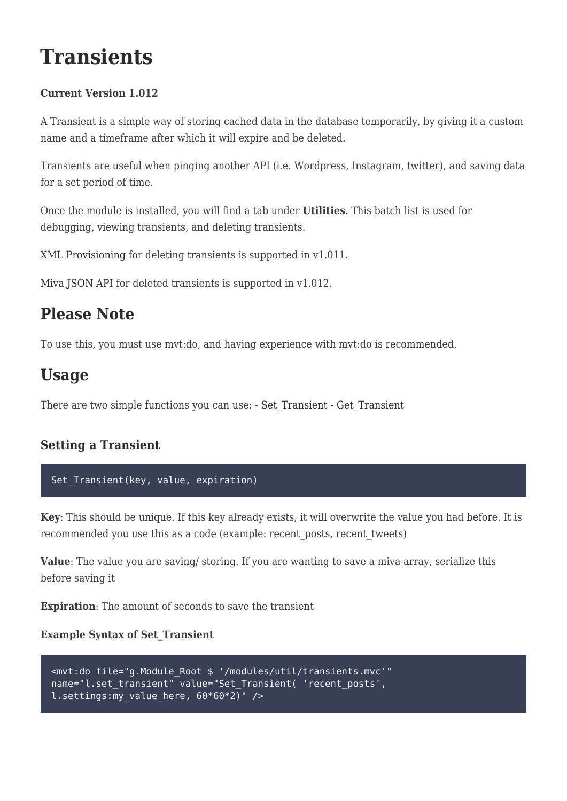# **Transients**

## **Current Version 1.012**

A Transient is a simple way of storing cached data in the database temporarily, by giving it a custom name and a timeframe after which it will expire and be deleted.

Transients are useful when pinging another API (i.e. Wordpress, Instagram, twitter), and saving data for a set period of time.

Once the module is installed, you will find a tab under **Utilities**. This batch list is used for debugging, viewing transients, and deleting transients.

[XML Provisioning](#page-5-0) for deleting transients is supported in v1.011.

[Miva JSON API](#page-6-0) for deleted transients is supported in  $v1.012$ .

## **Please Note**

To use this, you must use mvt:do, and having experience with mvt:do is recommended.

## **Usage**

There are two simple functions you can use: - [Set\\_Transient](#page-0-0) - [Get\\_Transient](#page-0-1)

## <span id="page-0-0"></span>**Setting a Transient**

### Set\_Transient(key, value, expiration)

**Key**: This should be unique. If this key already exists, it will overwrite the value you had before. It is recommended you use this as a code (example: recent\_posts, recent\_tweets)

**Value**: The value you are saving/ storing. If you are wanting to save a miva array, serialize this before saving it

**Expiration**: The amount of seconds to save the transient

## **Example Syntax of Set\_Transient**

```
<mvt:do file="g.Module_Root $ '/modules/util/transients.mvc'"
name="l.set_transient" value="Set_Transient( 'recent_posts',
l.settings:my value here, 60*60*2)" />
```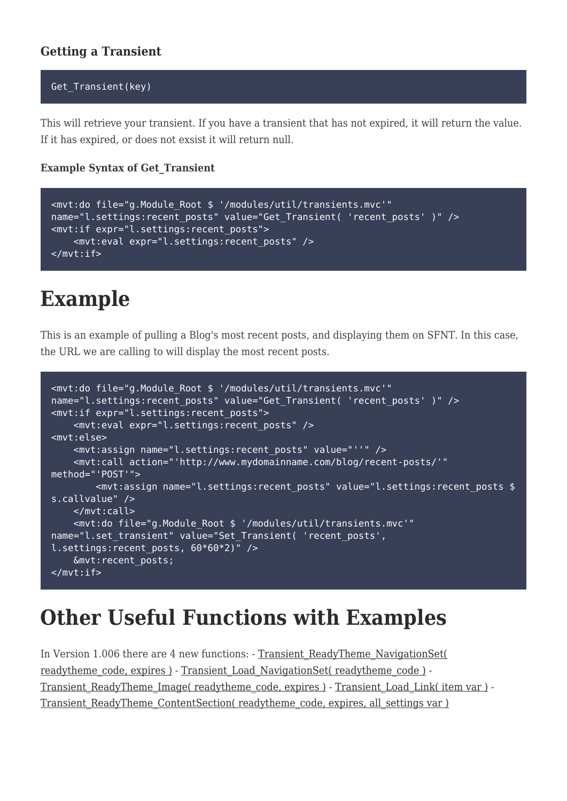## **Getting a Transient**

#### Get Transient(key)

This will retrieve your transient. If you have a transient that has not expired, it will return the value. If it has expired, or does not exsist it will return null.

#### **Example Syntax of Get\_Transient**

```
<mvt:do file="g.Module_Root $ '/modules/util/transients.mvc'"
name="l.settings:recent posts" value="Get Transient( 'recent posts' )" />
<mvt:if expr="l.settings:recent_posts">
     <mvt:eval expr="l.settings:recent_posts" />
</mvt:if>
```
# **Example**

This is an example of pulling a Blog's most recent posts, and displaying them on SFNT. In this case, the URL we are calling to will display the most recent posts.

```
<mvt:do file="g.Module_Root $ '/modules/util/transients.mvc'"
name="l.settings:recent posts" value="Get Transient( 'recent posts' )" />
<mvt:if expr="l.settings:recent_posts">
     <mvt:eval expr="l.settings:recent_posts" />
<mvt:else>
     <mvt:assign name="l.settings:recent_posts" value="''" />
     <mvt:call action="'http://www.mydomainname.com/blog/recent-posts/'"
method="'POST'">
         <mvt:assign name="l.settings:recent_posts" value="l.settings:recent_posts $
s.callvalue" />
     </mvt:call>
     <mvt:do file="g.Module_Root $ '/modules/util/transients.mvc'"
name="l.set transient" value="Set Transient( 'recent posts',
l.settings: recent posts, 60*60*2)" />
     &mvt:recent_posts;
</mvt:if>
```
# **Other Useful Functions with Examples**

<span id="page-1-0"></span>In Version 1.006 there are 4 new functions: - [Transient\\_ReadyTheme\\_NavigationSet\(](#page-1-0) [readytheme\\_code, expires \)](#page-1-0) - [Transient\\_Load\\_NavigationSet\( readytheme\\_code \)](#page-2-0) -Transient ReadyTheme Image( readytheme code, expires ) - Transient Load Link( item var ) -[Transient\\_ReadyTheme\\_ContentSection\( readytheme\\_code, expires, all\\_settings var \)](#page-4-1)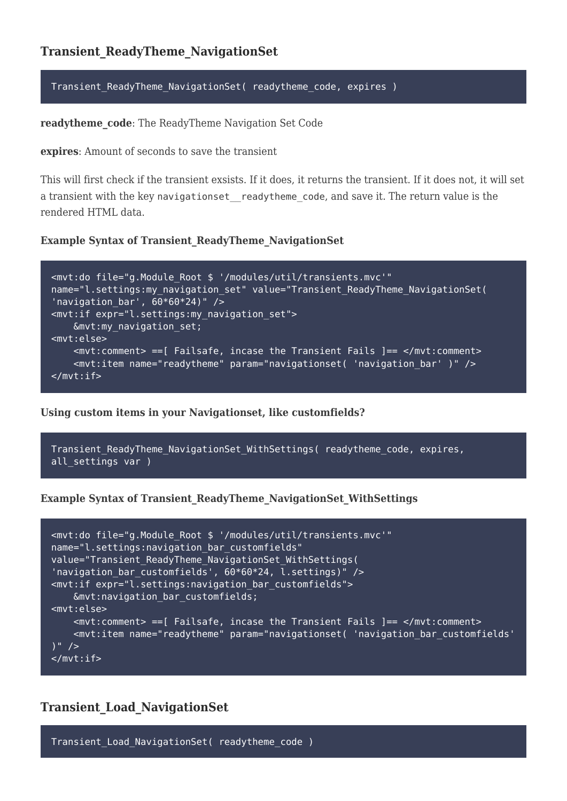Transient ReadyTheme NavigationSet( readytheme code, expires )

**readytheme\_code**: The ReadyTheme Navigation Set Code

**expires**: Amount of seconds to save the transient

This will first check if the transient exsists. If it does, it returns the transient. If it does not, it will set a transient with the key navigationset readytheme code, and save it. The return value is the rendered HTML data.

#### **Example Syntax of Transient\_ReadyTheme\_NavigationSet**

```
<mvt:do file="g.Module_Root $ '/modules/util/transients.mvc'"
name="l.settings:my navigation set" value="Transient ReadyTheme NavigationSet(
'navigation bar', 60*60*24)" />
<mvt:if expr="l.settings:my_navigation_set">
     &mvt:my_navigation_set;
<mvt:else>
     <mvt:comment> ==[ Failsafe, incase the Transient Fails ]== </mvt:comment>
     <mvt:item name="readytheme" param="navigationset( 'navigation_bar' )" />
</mvt:if>
```
**Using custom items in your Navigationset, like customfields?**

```
Transient ReadyTheme NavigationSet WithSettings( readytheme code, expires,
all settings var )
```
**Example Syntax of Transient\_ReadyTheme\_NavigationSet\_WithSettings**

```
<mvt:do file="g.Module_Root $ '/modules/util/transients.mvc'"
name="l.settings:navigation bar customfields"
value="Transient_ReadyTheme_NavigationSet_WithSettings(
'navigation bar customfields', 60*60*24, l.settings)" />
<mvt:if expr="l.settings:navigation_bar_customfields">
     &mvt:navigation_bar_customfields;
<mvt:else>
     <mvt:comment> ==[ Failsafe, incase the Transient Fails ]== </mvt:comment>
     <mvt:item name="readytheme" param="navigationset( 'navigation_bar_customfields'
) " />
</mvt:if>
```
### <span id="page-2-0"></span>**Transient\_Load\_NavigationSet**

Transient\_Load\_NavigationSet( readytheme\_code )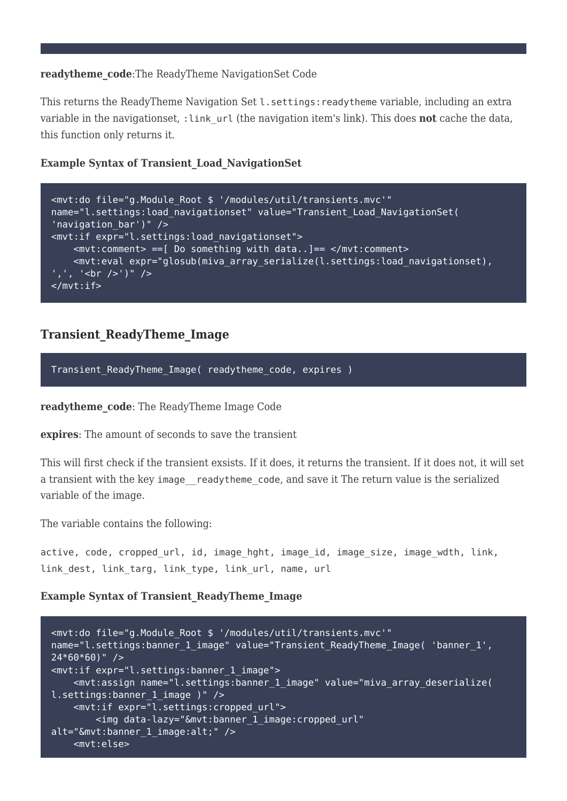#### **readytheme\_code**:The ReadyTheme NavigationSet Code

This returns the ReadyTheme Navigation Set L. settings: readytheme variable, including an extra variable in the navigationset, : link url (the navigation item's link). This does **not** cache the data, this function only returns it.

#### **Example Syntax of Transient\_Load\_NavigationSet**

| <mvt:do <="" file="g. Module Root \$ '/modules/util/transients.mvc'" th=""></mvt:do>                                                                            |
|-----------------------------------------------------------------------------------------------------------------------------------------------------------------|
| name="l.settings:load navigationset" value="Transient Load NavigationSet(                                                                                       |
| 'navigation bar')" $/$                                                                                                                                          |
| <mvt:if expr="l.settings:load navigationset"></mvt:if>                                                                                                          |
| $<$ mvt:comment> ==[ Do something with data]== $<$ /mvt:comment>                                                                                                |
| <mvt:eval expr="glosub(miva array serialize(l.settings:load navigationset),&lt;/td&gt;&lt;/tr&gt;&lt;tr&gt;&lt;td&gt;&lt;u&gt;',', '&lt;br /&gt;')"></mvt:eval> |
| $<$ / <code>mvt:if&gt;</code>                                                                                                                                   |

## <span id="page-3-0"></span>**Transient\_ReadyTheme\_Image**

Transient ReadyTheme Image( readytheme code, expires )

**readytheme\_code**: The ReadyTheme Image Code

**expires**: The amount of seconds to save the transient

This will first check if the transient exsists. If it does, it returns the transient. If it does not, it will set a transient with the key image readytheme code, and save it The return value is the serialized variable of the image.

The variable contains the following:

active, code, cropped url, id, image hght, image id, image size, image wdth, link, link dest, link targ, link type, link url, name, url

#### **Example Syntax of Transient\_ReadyTheme\_Image**

```
<mvt:do file="g.Module_Root $ '/modules/util/transients.mvc'"
name="l.settings:banner_1_image" value="Transient_ReadyTheme_Image( 'banner_1',
24*60*60)" />
<mvt:if expr="l.settings:banner_1_image">
     <mvt:assign name="l.settings:banner_1_image" value="miva_array_deserialize(
l.settings:banner 1 image )" />
     <mvt:if expr="l.settings:cropped_url">
         <img data-lazy="&mvt:banner_1_image:cropped_url"
alt="&mvt:banner_1_image:alt;" />
     <mvt:else>
```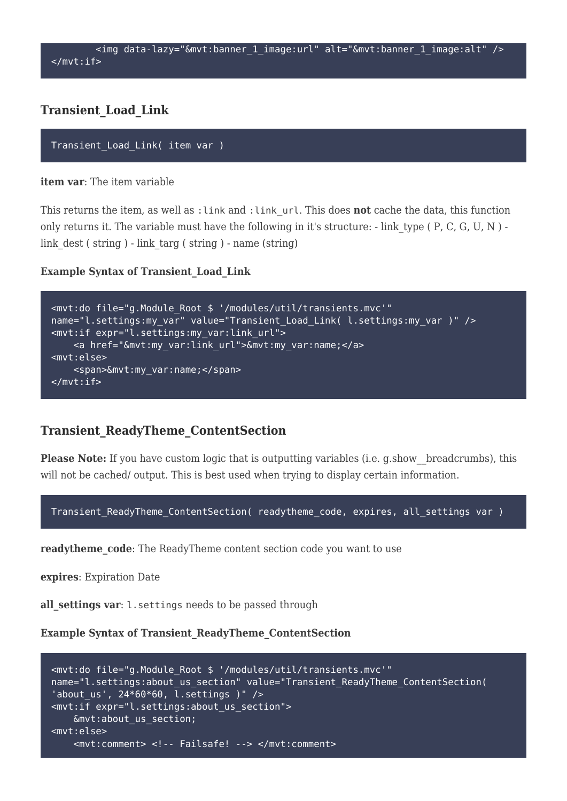## <span id="page-4-0"></span>**Transient\_Load\_Link**

```
Transient Load Link( item var )
```
#### **item var**: The item variable

This returns the item, as well as :link and :link\_url. This does **not** cache the data, this function only returns it. The variable must have the following in it's structure:  $\cdot$  link type ( P, C, G, U, N )  $\cdot$ link\_dest ( string ) - link\_targ ( string ) - name (string)

#### **Example Syntax of Transient\_Load\_Link**

```
<mvt:do file="g.Module_Root $ '/modules/util/transients.mvc'"
name="l.settings:my_var" value="Transient_Load_Link( l.settings:my_var )" />
<mvt:if expr="l.settings:my_var:link_url">
     <a href="&mvt:my_var:link_url">&mvt:my_var:name;</a>
<mvt:else>
     <span>&mvt:my_var:name;</span>
</mvt:if>
```
### <span id="page-4-1"></span>**Transient\_ReadyTheme\_ContentSection**

**Please Note:** If you have custom logic that is outputting variables (i.e. g.show breadcrumbs), this will not be cached/ output. This is best used when trying to display certain information.

Transient ReadyTheme ContentSection( readytheme code, expires, all settings var )

readytheme\_code: The ReadyTheme content section code you want to use

**expires**: Expiration Date

all settings var: l.settings needs to be passed through

**Example Syntax of Transient\_ReadyTheme\_ContentSection**

```
<mvt:do file="g.Module_Root $ '/modules/util/transients.mvc'"
name="l.settings:about us section" value="Transient ReadyTheme ContentSection(
'about us', 24*60*60, l.settings )" />
<mvt:if expr="l.settings:about_us_section">
     &mvt:about_us_section;
<mvt:else>
     <mvt:comment> <!-- Failsafe! --> </mvt:comment>
```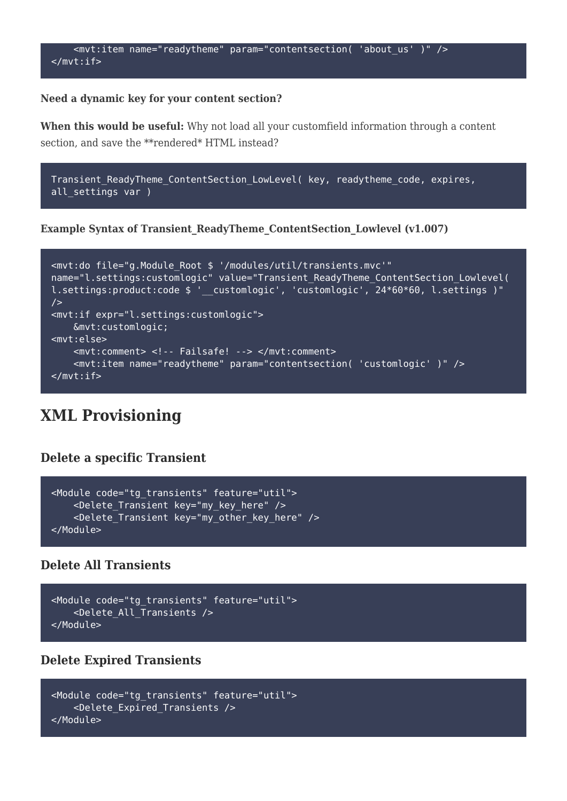

#### **Need a dynamic key for your content section?**

**When this would be useful:** Why not load all your customfield information through a content section, and save the \*\*rendered\* HTML instead?

```
Transient_ReadyTheme_ContentSection_LowLevel( key, readytheme_code, expires,
all settings var )
```
**Example Syntax of Transient\_ReadyTheme\_ContentSection\_Lowlevel (v1.007)**

```
<mvt:do file="g.Module_Root $ '/modules/util/transients.mvc'"
name="l.settings:customlogic" value="Transient_ReadyTheme_ContentSection_Lowlevel(
l.settings:product:code $ ' customlogic', 'customlogic', 24*60*60, l.settings )"
/<mvt:if expr="l.settings:customlogic">
     &mvt:customlogic;
<mvt:else>
     <mvt:comment> <!-- Failsafe! --> </mvt:comment>
    <mvt:item name="readytheme" param="contentsection( 'customlogic' )" />
</mvt:if>
```
## **XML Provisioning**

#### <span id="page-5-0"></span>**Delete a specific Transient**

```
<Module code="tg_transients" feature="util">
     <Delete_Transient key="my_key_here" />
    <Delete Transient key="my other key here" />
</Module>
```
#### **Delete All Transients**

```
<Module code="tg_transients" feature="util">
     <Delete_All_Transients />
</Module>
```
#### **Delete Expired Transients**

```
<Module code="tg_transients" feature="util">
     <Delete_Expired_Transients />
</Module>
```